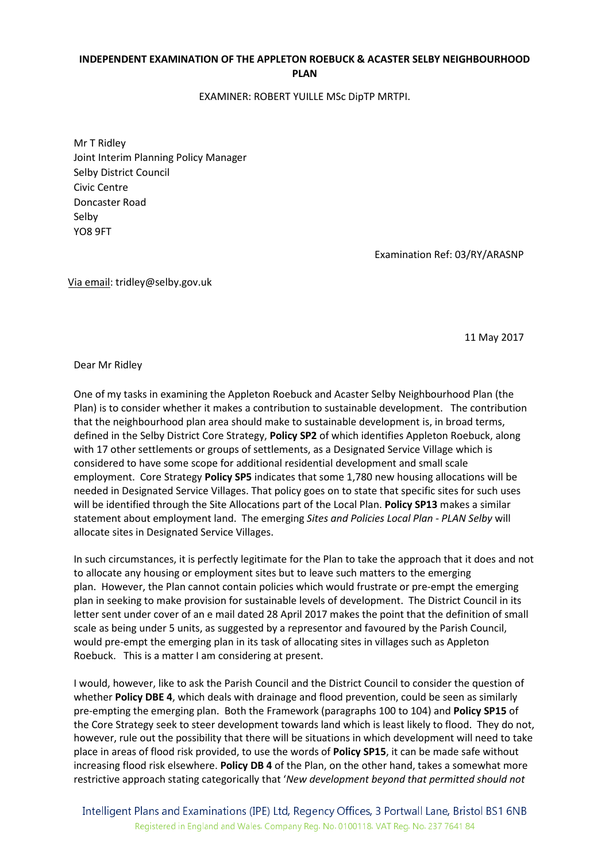## INDEPENDENT EXAMINATION OF THE APPLETON ROEBUCK & ACASTER SELBY NEIGHBOURHOOD PLAN

EXAMINER: ROBERT YUILLE MSc DipTP MRTPI.

Mr T Ridley Joint Interim Planning Policy Manager Selby District Council Civic Centre Doncaster Road Selby YO8 9FT

Examination Ref: 03/RY/ARASNP

Via email: tridley@selby.gov.uk

11 May 2017

Dear Mr Ridley

One of my tasks in examining the Appleton Roebuck and Acaster Selby Neighbourhood Plan (the Plan) is to consider whether it makes a contribution to sustainable development. The contribution that the neighbourhood plan area should make to sustainable development is, in broad terms, defined in the Selby District Core Strategy, Policy SP2 of which identifies Appleton Roebuck, along with 17 other settlements or groups of settlements, as a Designated Service Village which is considered to have some scope for additional residential development and small scale employment. Core Strategy Policy SP5 indicates that some 1.780 new housing allocations will be needed in Designated Service Villages. That policy goes on to state that specific sites for such uses will be identified through the Site Allocations part of the Local Plan. Policy SP13 makes a similar statement about employment land. The emerging Sites and Policies Local Plan - PLAN Selby will allocate sites in Designated Service Villages.

In such circumstances, it is perfectly legitimate for the Plan to take the approach that it does and not to allocate any housing or employment sites but to leave such matters to the emerging plan. However, the Plan cannot contain policies which would frustrate or pre-empt the emerging plan in seeking to make provision for sustainable levels of development. The District Council in its letter sent under cover of an e mail dated 28 April 2017 makes the point that the definition of small scale as being under 5 units, as suggested by a representor and favoured by the Parish Council, would pre-empt the emerging plan in its task of allocating sites in villages such as Appleton Roebuck. This is a matter I am considering at present.

I would, however, like to ask the Parish Council and the District Council to consider the question of whether Policy DBE 4, which deals with drainage and flood prevention, could be seen as similarly pre-empting the emerging plan. Both the Framework (paragraphs 100 to 104) and Policy SP15 of the Core Strategy seek to steer development towards land which is least likely to flood. They do not, however, rule out the possibility that there will be situations in which development will need to take place in areas of flood risk provided, to use the words of Policy SP15, it can be made safe without increasing flood risk elsewhere. Policy DB 4 of the Plan, on the other hand, takes a somewhat more restrictive approach stating categorically that 'New development beyond that permitted should not